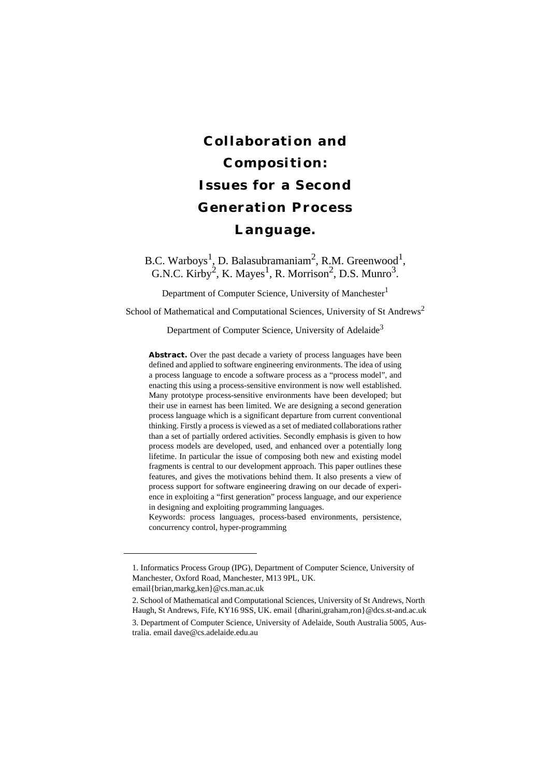# **Collaboration and Composition: Issues for a Second Generation Process Language.**

B.C. Warboys<sup>1</sup>, D. Balasubramaniam<sup>2</sup>, R.M. Greenwood<sup>1</sup>, G.N.C. Kirby<sup>2</sup>, K. Mayes<sup>1</sup>, R. Morrison<sup>2</sup>, D.S. Munro<sup>3</sup>.

Department of Computer Science, University of Manchester<sup>1</sup>

School of Mathematical and Computational Sciences, University of St Andrews<sup>2</sup>

Department of Computer Science, University of Adelaide<sup>3</sup>

Abstract. Over the past decade a variety of process languages have been defined and applied to software engineering environments. The idea of using a process language to encode a software process as a "process model", and enacting this using a process-sensitive environment is now well established. Many prototype process-sensitive environments have been developed; but their use in earnest has been limited. We are designing a second generation process language which is a significant departure from current conventional thinking. Firstly a process is viewed as a set of mediated collaborations rather than a set of partially ordered activities. Secondly emphasis is given to how process models are developed, used, and enhanced over a potentially long lifetime. In particular the issue of composing both new and existing model fragments is central to our development approach. This paper outlines these features, and gives the motivations behind them. It also presents a view of process support for software engineering drawing on our decade of experience in exploiting a "first generation" process language, and our experience in designing and exploiting programming languages.

Keywords: process languages, process-based environments, persistence, concurrency control, hyper-programming

email{brian,markg,ken}@cs.man.ac.uk

2. School of Mathematical and Computational Sciences, University of St Andrews, North Haugh, St Andrews, Fife, KY16 9SS, UK. email {dharini,graham,ron}@dcs.st-and.ac.uk 3. Department of Computer Science, University of Adelaide, South Australia 5005, Australia. email dave@cs.adelaide.edu.au

<sup>1.</sup> Informatics Process Group (IPG), Department of Computer Science, University of Manchester, Oxford Road, Manchester, M13 9PL, UK.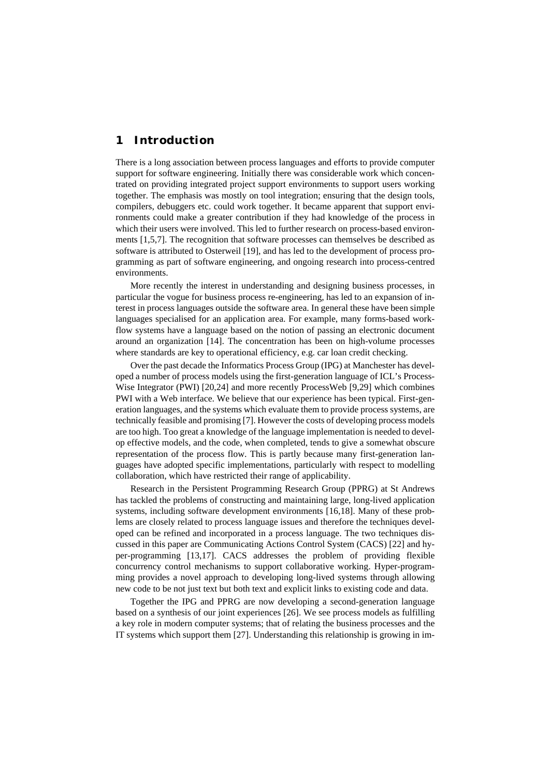# **1 Introduction**

There is a long association between process languages and efforts to provide computer support for software engineering. Initially there was considerable work which concentrated on providing integrated project support environments to support users working together. The emphasis was mostly on tool integration; ensuring that the design tools, compilers, debuggers etc. could work together. It became apparent that support environments could make a greater contribution if they had knowledge of the process in which their users were involved. This led to further research on process-based environments [[1,5,7\]](#page-14-0). The recognition that software processes can themselves be described as software is attributed to Osterweil [[19\],](#page-15-0) and has led to the development of process programming as part of software engineering, and ongoing research into process-centred environments.

More recently the interest in understanding and designing business processes, in particular the vogue for business process re-engineering, has led to an expansion of interest in process languages outside the software area. In general these have been simple languages specialised for an application area. For example, many forms-based workflow systems have a language based on the notion of passing an electronic document around an organization [\[14\].](#page-14-0) The concentration has been on high-volume processes where standards are key to operational efficiency, e.g. car loan credit checking.

Over the past decade the Informatics Process Group (IPG) at Manchester has developed a number of process models using the first-generation language of ICL's Process-Wise Integrator (PWI) [[20,24\]](#page-15-0) and more recently ProcessWeb [[9,](#page-14-0)[29\]](#page-15-0) which combines PWI with a Web interface. We believe that our experience has been typical. First-generation languages, and the systems which evaluate them to provide process systems, are technically feasible and promising [\[7\]](#page-14-0). However the costs of developing process models are too high. Too great a knowledge of the language implementation is needed to develop effective models, and the code, when completed, tends to give a somewhat obscure representation of the process flow. This is partly because many first-generation languages have adopted specific implementations, particularly with respect to modelling collaboration, which have restricted their range of applicability.

Research in the Persistent Programming Research Group (PPRG) at St Andrews has tackled the problems of constructing and maintaining large, long-lived application systems, including software development environments [[16,18\]](#page-15-0). Many of these problems are closely related to process language issues and therefore the techniques developed can be refined and incorporated in a process language. The two techniques discussed in this paper are Communicating Actions Control System (CACS) [\[22\]](#page-15-0) and hyper-programming [[13,](#page-14-0)[17\]](#page-15-0). CACS addresses the problem of providing flexible concurrency control mechanisms to support collaborative working. Hyper-programming provides a novel approach to developing long-lived systems through allowing new code to be not just text but both text and explicit links to existing code and data.

Together the IPG and PPRG are now developing a second-generation language based on a synthesis of our joint experiences [\[26\]](#page-15-0). We see process models as fulfilling a key role in modern computer systems; that of relating the business processes and the IT systems which support them [\[27\]](#page-15-0). Understanding this relationship is growing in im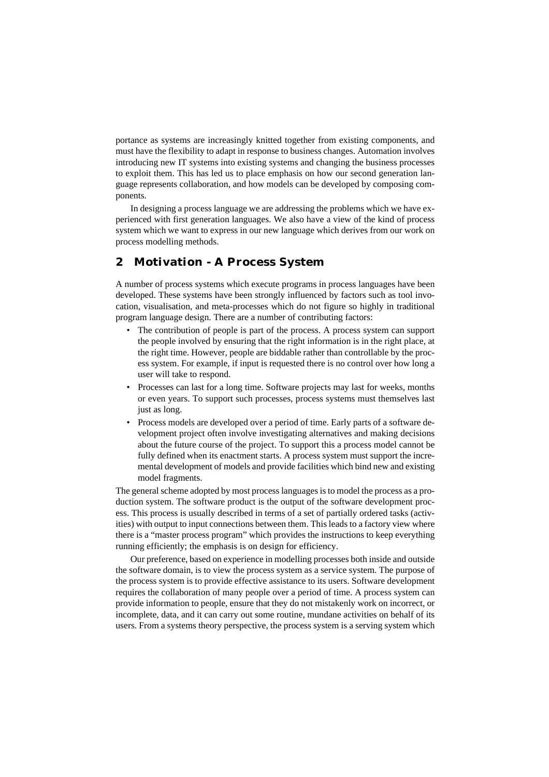portance as systems are increasingly knitted together from existing components, and must have the flexibility to adapt in response to business changes. Automation involves introducing new IT systems into existing systems and changing the business processes to exploit them. This has led us to place emphasis on how our second generation language represents collaboration, and how models can be developed by composing components.

In designing a process language we are addressing the problems which we have experienced with first generation languages. We also have a view of the kind of process system which we want to express in our new language which derives from our work on process modelling methods.

# **2 Motivation - A Process System**

A number of process systems which execute programs in process languages have been developed. These systems have been strongly influenced by factors such as tool invocation, visualisation, and meta-processes which do not figure so highly in traditional program language design. There are a number of contributing factors:

- The contribution of people is part of the process. A process system can support the people involved by ensuring that the right information is in the right place, at the right time. However, people are biddable rather than controllable by the process system. For example, if input is requested there is no control over how long a user will take to respond.
- Processes can last for a long time. Software projects may last for weeks, months or even years. To support such processes, process systems must themselves last just as long.
- Process models are developed over a period of time. Early parts of a software development project often involve investigating alternatives and making decisions about the future course of the project. To support this a process model cannot be fully defined when its enactment starts. A process system must support the incremental development of models and provide facilities which bind new and existing model fragments.

The general scheme adopted by most process languages is to model the process as a production system. The software product is the output of the software development process. This process is usually described in terms of a set of partially ordered tasks (activities) with output to input connections between them. This leads to a factory view where there is a "master process program" which provides the instructions to keep everything running efficiently; the emphasis is on design for efficiency.

Our preference, based on experience in modelling processes both inside and outside the software domain, is to view the process system as a service system. The purpose of the process system is to provide effective assistance to its users. Software development requires the collaboration of many people over a period of time. A process system can provide information to people, ensure that they do not mistakenly work on incorrect, or incomplete, data, and it can carry out some routine, mundane activities on behalf of its users. From a systems theory perspective, the process system is a serving system which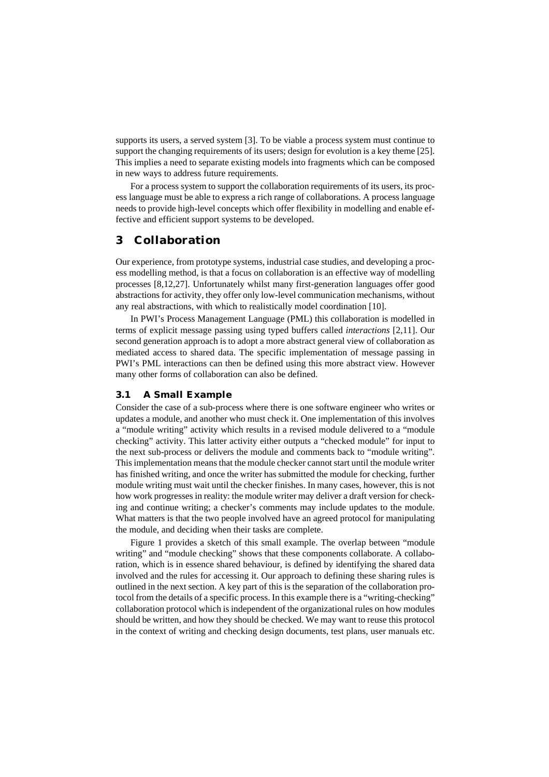supports its users, a served system [\[3\].](#page-14-0) To be viable a process system must continue to support the changing requirements of its users; design for evolution is a key theme [\[25\]](#page-15-0). This implies a need to separate existing models into fragments which can be composed in new ways to address future requirements.

For a process system to support the collaboration requirements of its users, its process language must be able to express a rich range of collaborations. A process language needs to provide high-level concepts which offer flexibility in modelling and enable effective and efficient support systems to be developed.

# **3 Collaboration**

Our experience, from prototype systems, industrial case studies, and developing a process modelling method, is that a focus on collaboration is an effective way of modelling processes [\[8,12](#page-14-0)[,27](#page-15-0)]. Unfortunately whilst many first-generation languages offer good abstractions for activity, they offer only low-level communication mechanisms, without any real abstractions, with which to realistically model coordination [10][.](#page-14-0)

In PWI's Process Management Language (PML) this collaboration is modelled in terms of explicit message passing using typed buffers called *interactions* [[2,11\]](#page-14-0). Our second generation approach is to adopt a more abstract general view of collaboration as mediated access to shared data. The specific implementation of message passing in PWI's PML interactions can then be defined using this more abstract view. However many other forms of collaboration can also be defined.

#### **3.1 A Small Example**

Consider the case of a sub-process where there is one software engineer who writes or updates a module, and another who must check it. One implementation of this involves a "module writing" activity which results in a revised module delivered to a "module checking" activity. This latter activity either outputs a "checked module" for input to the next sub-process or delivers the module and comments back to "module writing". This implementation means that the module checker cannot start until the module writer has finished writing, and once the writer has submitted the module for checking, further module writing must wait until the checker finishes. In many cases, however, this is not how work progresses in reality: the module writer may deliver a draft version for checking and continue writing; a checker's comments may include updates to the module. What matters is that the two people involved have an agreed protocol for manipulating the module, and deciding when their tasks are complete.

Figure 1 provides a sketch of this small example. The overlap between "module writing" and "module checking" shows that these components collaborate. A collaboration, which is in essence shared behaviour, is defined by identifying the shared data involved and the rules for accessing it. Our approach to defining these sharing rules is outlined in the next section. A key part of this is the separation of the collaboration protocol from the details of a specific process. In this example there is a "writing-checking" collaboration protocol which is independent of the organizational rules on how modules should be written, and how they should be checked. We may want to reuse this protocol in the context of writing and checking design documents, test plans, user manuals etc.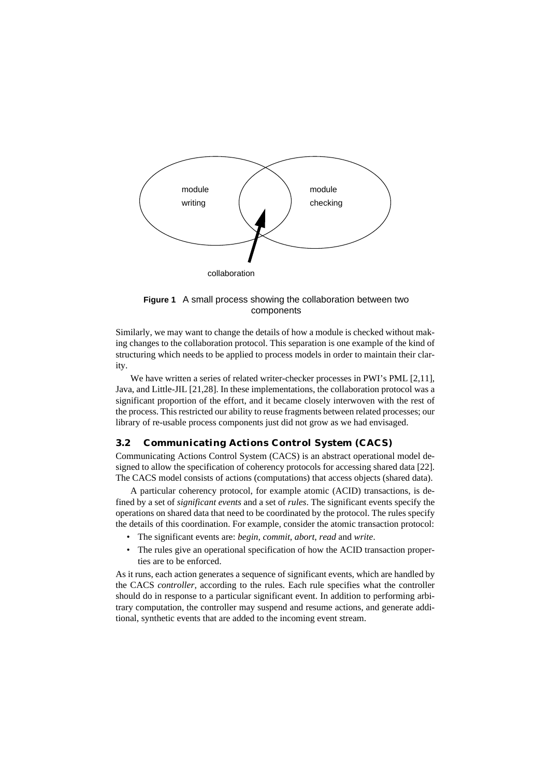

**Figure 1** A small process showing the collaboration between two components

Similarly, we may want to change the details of how a module is checked without making changes to the collaboration protocol. This separation is one example of the kind of structuring which needs to be applied to process models in order to maintain their clarity.

We have written a series of related writer-checker processes in PWI's PML [[2,11\]](#page-14-0), Java, and Little-JIL [[21](#page-15-0),[28\]](#page-15-0). In these implementations, the collaboration protocol was a significant proportion of the effort, and it became closely interwoven with the rest of the process. This restricted our ability to reuse fragments between related processes; our library of re-usable process components just did not grow as we had envisaged.

## **3.2 Communicating Actions Control System (CACS)**

Communicating Actions Control System (CACS) is an abstract operational model designed to allow the specification of coherency protocols for accessing shared data [\[22\]](#page-15-0). The CACS model consists of actions (computations) that access objects (shared data).

A particular coherency protocol, for example atomic (ACID) transactions, is defined by a set of *significant events* and a set of *rules*. The significant events specify the operations on shared data that need to be coordinated by the protocol. The rules specify the details of this coordination. For example, consider the atomic transaction protocol:

- The significant events are: *begin*, *commit*, *abort*, *read* and *write*.
- The rules give an operational specification of how the ACID transaction properties are to be enforced.

As it runs, each action generates a sequence of significant events, which are handled by the CACS *controller*, according to the rules. Each rule specifies what the controller should do in response to a particular significant event. In addition to performing arbitrary computation, the controller may suspend and resume actions, and generate additional, synthetic events that are added to the incoming event stream.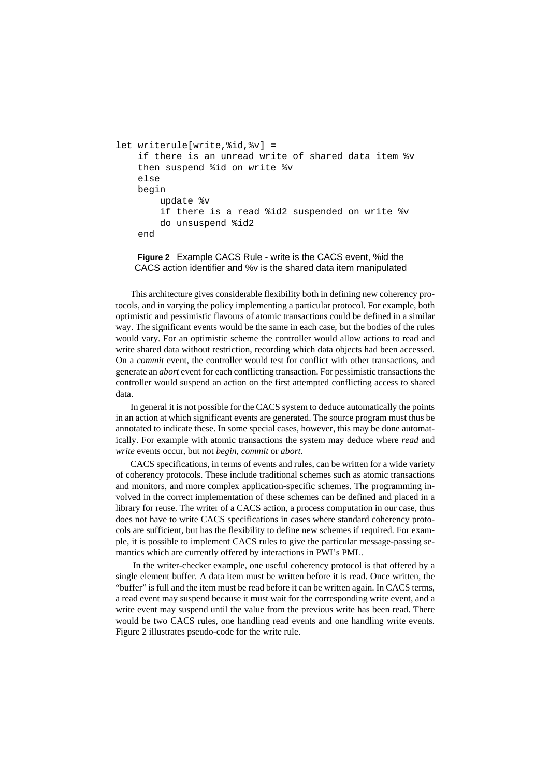```
let writerule[write,%id,%v] =
    if there is an unread write of shared data item %v
   then suspend %id on write %v
   else
   begin
        update %v
        if there is a read %id2 suspended on write %v
        do unsuspend %id2
   end
```
**Figure 2** Example CACS Rule - write is the CACS event, %id the CACS action identifier and %v is the shared data item manipulated

This architecture gives considerable flexibility both in defining new coherency protocols, and in varying the policy implementing a particular protocol. For example, both optimistic and pessimistic flavours of atomic transactions could be defined in a similar way. The significant events would be the same in each case, but the bodies of the rules would vary. For an optimistic scheme the controller would allow actions to read and write shared data without restriction, recording which data objects had been accessed. On a *commit* event, the controller would test for conflict with other transactions, and generate an *abort* event for each conflicting transaction. For pessimistic transactions the controller would suspend an action on the first attempted conflicting access to shared data.

In general it is not possible for the CACS system to deduce automatically the points in an action at which significant events are generated. The source program must thus be annotated to indicate these. In some special cases, however, this may be done automatically. For example with atomic transactions the system may deduce where *read* and *write* events occur, but not *begin*, *commit* or *abort*.

CACS specifications, in terms of events and rules, can be written for a wide variety of coherency protocols. These include traditional schemes such as atomic transactions and monitors, and more complex application-specific schemes. The programming involved in the correct implementation of these schemes can be defined and placed in a library for reuse. The writer of a CACS action, a process computation in our case, thus does not have to write CACS specifications in cases where standard coherency protocols are sufficient, but has the flexibility to define new schemes if required. For example, it is possible to implement CACS rules to give the particular message-passing semantics which are currently offered by interactions in PWI's PML.

In the writer-checker example, one useful coherency protocol is that offered by a single element buffer. A data item must be written before it is read. Once written, the "buffer" is full and the item must be read before it can be written again. In CACS terms, a read event may suspend because it must wait for the corresponding write event, and a write event may suspend until the value from the previous write has been read. There would be two CACS rules, one handling read events and one handling write events. Figure 2 illustrates pseudo-code for the write rule.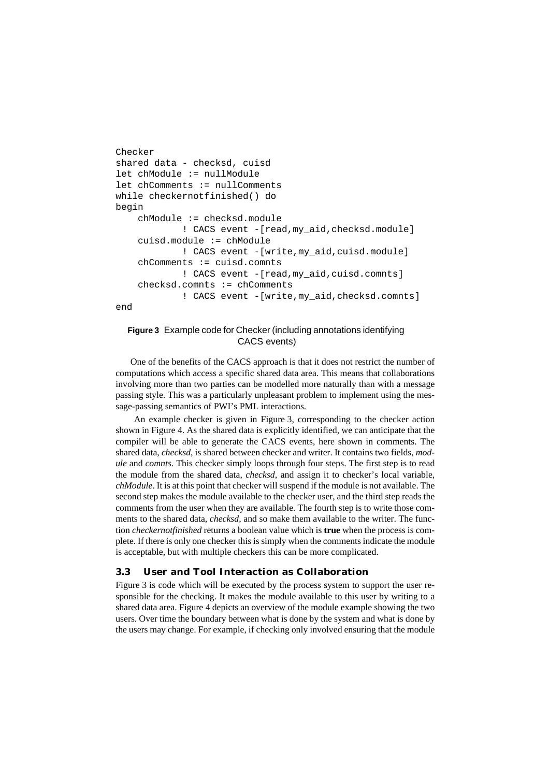```
Checker
shared data - checksd, cuisd
let chModule := nullModule
let chComments := nullComments
while checkernotfinished() do
begin
   chModule := checksd.module
            ! CACS event -[read,my_aid,checksd.module]
    cuisd.module := chModule
            ! CACS event -[write,my_aid,cuisd.module]
    chComments := cuisd.comnts
            ! CACS event -[read,my_aid,cuisd.comnts]
    checksd.comnts := chComments
            ! CACS event -[write,my_aid,checksd.comnts]
end
```
### **Figure 3** Example code for Checker (including annotations identifying CACS events)

One of the benefits of the CACS approach is that it does not restrict the number of computations which access a specific shared data area. This means that collaborations involving more than two parties can be modelled more naturally than with a message passing style. This was a particularly unpleasant problem to implement using the message-passing semantics of PWI's PML interactions.

An example checker is given in Figure 3, corresponding to the checker action shown in [Figure 4.](#page-7-0) As the shared data is explicitly identified, we can anticipate that the compiler will be able to generate the CACS events, here shown in comments. The shared data, *checksd*, is shared between checker and writer. It contains two fields, *module* and *comnts*. This checker simply loops through four steps. The first step is to read the module from the shared data, *checksd*, and assign it to checker's local variable, *chModule*. It is at this point that checker will suspend if the module is not available. The second step makes the module available to the checker user, and the third step reads the comments from the user when they are available. The fourth step is to write those comments to the shared data, *checksd*, and so make them available to the writer. The function *checkernotfinished* returns a boolean value which is **true** when the process is complete. If there is only one checker this is simply when the comments indicate the module is acceptable, but with multiple checkers this can be more complicated.

## **3.3 User and Tool Interaction as Collaboration**

Figure 3 is code which will be executed by the process system to support the user responsible for the checking. It makes the module available to this user by writing to a shared data area. [Figure 4](#page-7-0) depicts an overview of the module example showing the two users. Over time the boundary between what is done by the system and what is done by the users may change. For example, if checking only involved ensuring that the module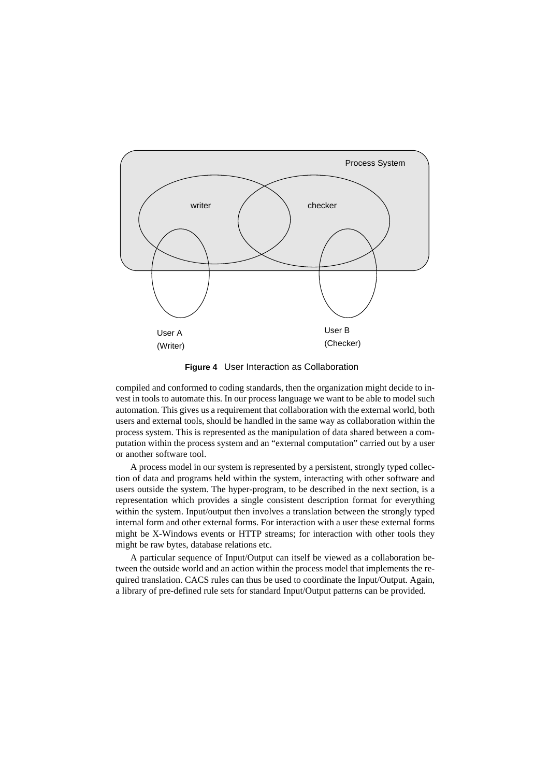<span id="page-7-0"></span>

**Figure 4** User Interaction as Collaboration

compiled and conformed to coding standards, then the organization might decide to invest in tools to automate this. In our process language we want to be able to model such automation. This gives us a requirement that collaboration with the external world, both users and external tools, should be handled in the same way as collaboration within the process system. This is represented as the manipulation of data shared between a computation within the process system and an "external computation" carried out by a user or another software tool.

A process model in our system is represented by a persistent, strongly typed collection of data and programs held within the system, interacting with other software and users outside the system. The hyper-program, to be described in the next section, is a representation which provides a single consistent description format for everything within the system. Input/output then involves a translation between the strongly typed internal form and other external forms. For interaction with a user these external forms might be X-Windows events or HTTP streams; for interaction with other tools they might be raw bytes, database relations etc.

A particular sequence of Input/Output can itself be viewed as a collaboration between the outside world and an action within the process model that implements the required translation. CACS rules can thus be used to coordinate the Input/Output. Again, a library of pre-defined rule sets for standard Input/Output patterns can be provided.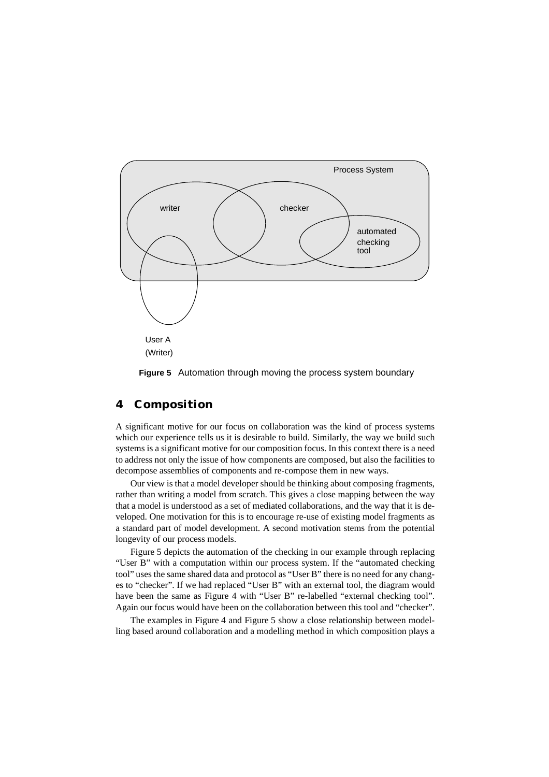

**Figure 5** Automation through moving the process system boundary

# **4 Composition**

A significant motive for our focus on collaboration was the kind of process systems which our experience tells us it is desirable to build. Similarly, the way we build such systems is a significant motive for our composition focus. In this context there is a need to address not only the issue of how components are composed, but also the facilities to decompose assemblies of components and re-compose them in new ways.

Our view is that a model developer should be thinking about composing fragments, rather than writing a model from scratch. This gives a close mapping between the way that a model is understood as a set of mediated collaborations, and the way that it is developed. One motivation for this is to encourage re-use of existing model fragments as a standard part of model development. A second motivation stems from the potential longevity of our process models.

Figure 5 depicts the automation of the checking in our example through replacing "User B" with a computation within our process system. If the "automated checking tool" uses the same shared data and protocol as "User B" there is no need for any changes to "checker". If we had replaced "User B" with an external tool, the diagram would have been the same [as Figure](#page-7-0) 4 with "User B" re-labelled "external checking tool". Again our focus would have been on the collaboration between this tool and "checker".

The examples in [Figure 4](#page-7-0) and Figure 5 show a close relationship between modelling based around collaboration and a modelling method in which composition plays a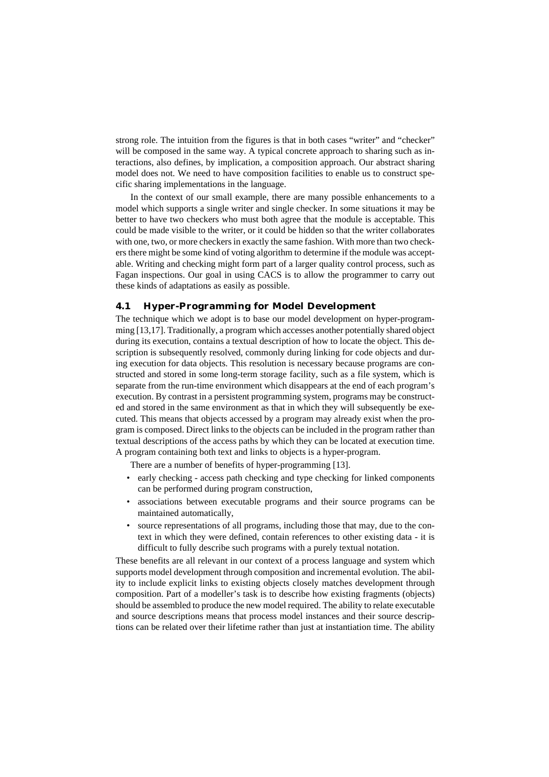strong role. The intuition from the figures is that in both cases "writer" and "checker" will be composed in the same way. A typical concrete approach to sharing such as interactions, also defines, by implication, a composition approach. Our abstract sharing model does not. We need to have composition facilities to enable us to construct specific sharing implementations in the language.

In the context of our small example, there are many possible enhancements to a model which supports a single writer and single checker. In some situations it may be better to have two checkers who must both agree that the module is acceptable. This could be made visible to the writer, or it could be hidden so that the writer collaborates with one, two, or more checkers in exactly the same fashion. With more than two checkers there might be some kind of voting algorithm to determine if the module was acceptable. Writing and checking might form part of a larger quality control process, such as Fagan inspections. Our goal in using CACS is to allow the programmer to carry out these kinds of adaptations as easily as possible.

### **4.1 Hyper-Programming for Model Development**

The technique which we adopt is to base our model development on hyper-programming [[13,](#page-14-0)[17\]](#page-15-0). Traditionally, a program which accesses another potentially shared object during its execution, contains a textual description of how to locate the object. This description is subsequently resolved, commonly during linking for code objects and during execution for data objects. This resolution is necessary because programs are constructed and stored in some long-term storage facility, such as a file system, which is separate from the run-time environment which disappears at the end of each program's execution. By contrast in a persistent programming system, programs may be constructed and stored in the same environment as that in which they will subsequently be executed. This means that objects accessed by a program may already exist when the program is composed. Direct links to the objects can be included in the program rather than textual descriptions of the access paths by which they can be located at execution time. A program containing both text and links to objects is a hyper-program.

There are a number of benefits of hyper-programming [[13\].](#page-14-0)

- early checking access path checking and type checking for linked components can be performed during program construction,
- associations between executable programs and their source programs can be maintained automatically,
- source representations of all programs, including those that may, due to the context in which they were defined, contain references to other existing data - it is difficult to fully describe such programs with a purely textual notation.

These benefits are all relevant in our context of a process language and system which supports model development through composition and incremental evolution. The ability to include explicit links to existing objects closely matches development through composition. Part of a modeller's task is to describe how existing fragments (objects) should be assembled to produce the new model required. The ability to relate executable and source descriptions means that process model instances and their source descriptions can be related over their lifetime rather than just at instantiation time. The ability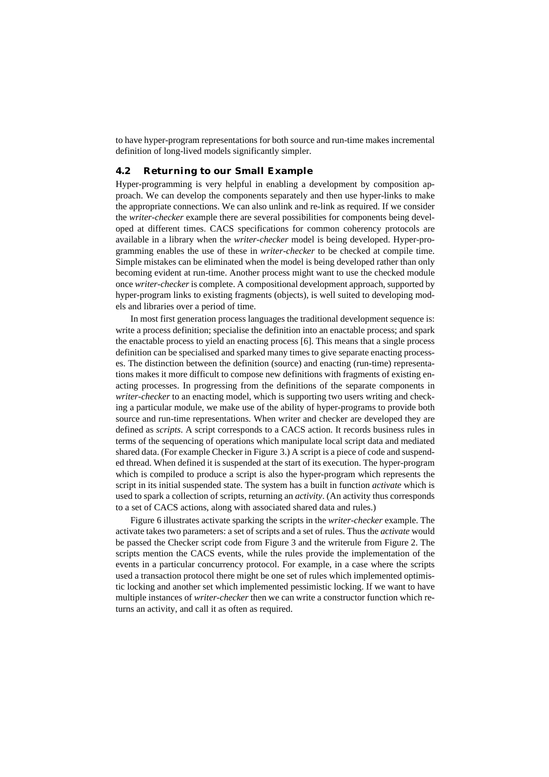to have hyper-program representations for both source and run-time makes incremental definition of long-lived models significantly simpler.

## **4.2 Returning to our Small Example**

Hyper-programming is very helpful in enabling a development by composition approach. We can develop the components separately and then use hyper-links to make the appropriate connections. We can also unlink and re-link as required. If we consider the *writer-checker* example there are several possibilities for components being developed at different times. CACS specifications for common coherency protocols are available in a library when the *writer-checker* model is being developed. Hyper-programming enables the use of these in *writer-checker* to be checked at compile time. Simple mistakes can be eliminated when the model is being developed rather than only becoming evident at run-time. Another process might want to use the checked module once *writer-checker* is complete. A compositional development approach, supported by hyper-program links to existing fragments (objects), is well suited to developing models and libraries over a period of time.

In most first generation process languages the traditional development sequence is: write a process definition; specialise the definition into an enactable process; and spark the enactable process to yield an enacting process [\[6\]](#page-14-0). This means that a single process definition can be specialised and sparked many times to give separate enacting processes. The distinction between the definition (source) and enacting (run-time) representations makes it more difficult to compose new definitions with fragments of existing enacting processes. In progressing from the definitions of the separate components in *writer-checker* to an enacting model, which is supporting two users writing and checking a particular module, we make use of the ability of hyper-programs to provide both source and run-time representations. When writer and checker are developed they are defined as *scripts*. A script corresponds to a CACS action. It records business rules in terms of the sequencing of operations which manipulate local script data and mediated shared data. (For example Checker in [Figure 3.](#page-6-0)) A script is a piece of code and suspended thread. When defined it is suspended at the start of its execution. The hyper-program which is compiled to produce a script is also the hyper-program which represents the script in its initial suspended state. The system has a built in function *activate* which is used to spark a collection of scripts, returning an *activity*. (An activity thus corresponds to a set of CACS actions, along with associated shared data and rules.)

[Figure 6](#page-11-0) illustrates activate sparking the scripts in the *writer-checker* example. The activate takes two parameters: a set of scripts and a set of rules. Thus the *activate* would be passed the Checker script code fro[m Figure 3](#page-6-0) and the writerule from [Figure 2.](#page-5-0) The scripts mention the CACS events, while the rules provide the implementation of the events in a particular concurrency protocol. For example, in a case where the scripts used a transaction protocol there might be one set of rules which implemented optimistic locking and another set which implemented pessimistic locking. If we want to have multiple instances of *writer-checker* then we can write a constructor function which returns an activity, and call it as often as required.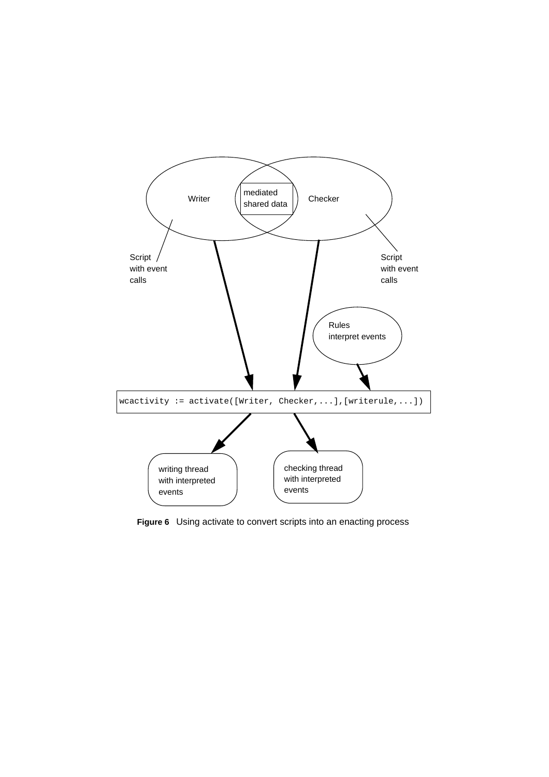<span id="page-11-0"></span>

**Figure 6** Using activate to convert scripts into an enacting process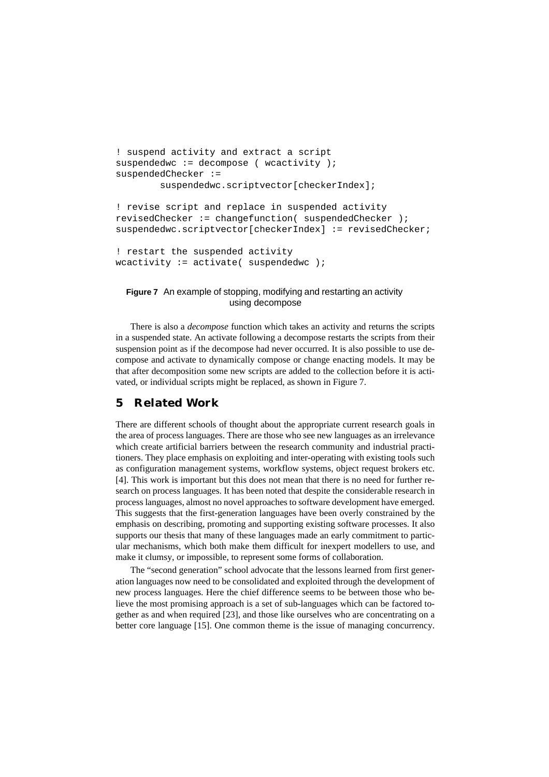```
! suspend activity and extract a script
suspendedwc := decompose ( wcactivity ) ;
suspendedChecker :=
        suspendedwc.scriptvector[checkerIndex];
! revise script and replace in suspended activity
revisedChecker := changefunction( suspendedChecker );
suspendedwc.scriptvector[checkerIndex] := revisedChecker;
! restart the suspended activity
wcactivity := activate( suspendedwc ) ;
```
## **Figure 7** An example of stopping, modifying and restarting an activity using decompose

There is also a *decompose* function which takes an activity and returns the scripts in a suspended state. An activate following a decompose restarts the scripts from their suspension point as if the decompose had never occurred. It is also possible to use decompose and activate to dynamically compose or change enacting models. It may be that after decomposition some new scripts are added to the collection before it is activated, or individual scripts might be replaced, as shown in Figure 7.

# **5 Related Work**

There are different schools of thought about the appropriate current research goals in the area of process languages. There are those who see new languages as an irrelevance which create artificial barriers between the research community and industrial practitioners. They place emphasis on exploiting and inter-operating with existing tools such as configuration management systems, workflow systems, object request brokers etc. [\[4\]](#page-14-0). This work is important but this does not mean that there is no need for further research on process languages. It has been noted that despite the considerable research in process languages, almost no novel approaches to software development have emerged. This suggests that the first-generation languages have been overly constrained by the emphasis on describing, promoting and supporting existing software processes. It also supports our thesis that many of these languages made an early commitment to particular mechanisms, which both make them difficult for inexpert modellers to use, and make it clumsy, or impossible, to represent some forms of collaboration.

The "second generation" school advocate that the lessons learned from first generation languages now need to be consolidated and exploited through the development of new process languages. Here the chief difference seems to be between those who believe the most promising approach is a set of sub-languages which can be factored together as and when required [\[23\]](#page-15-0), and those like ourselves who are concentrating on a better core language [\[15\].](#page-14-0) One common theme is the issue of managing concurrency.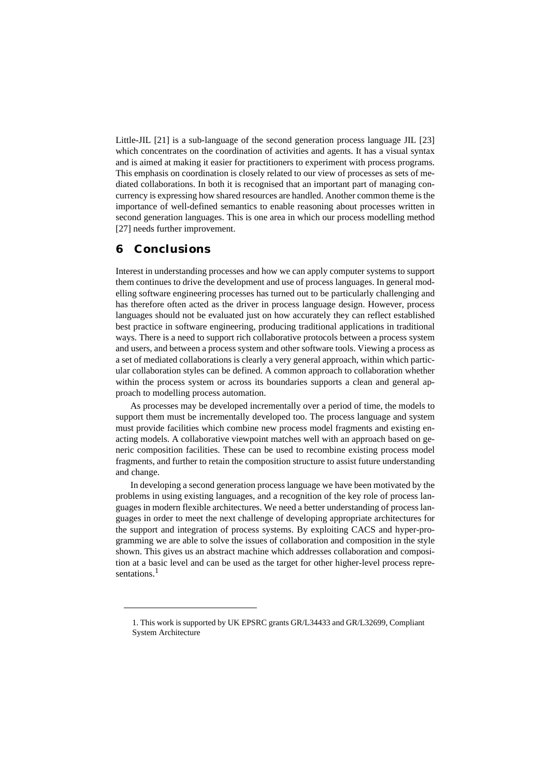Little-JIL [[21\] i](#page-15-0)s a sub-language of the second generation process language JIL [\[23\]](#page-15-0) which concentrates on the coordination of activities and agents. It has a visual syntax and is aimed at making it easier for practitioners to experiment with process programs. This emphasis on coordination is closely related to our view of processes as sets of mediated collaborations. In both it is recognised that an important part of managing concurrency is expressing how shared resources are handled. Another common theme is the importance of well-defined semantics to enable reasoning about processes written in second generation languages. This is one area in which our process modelling method [\[27\]](#page-15-0) needs further improvement.

## **6 Conclusions**

Interest in understanding processes and how we can apply computer systems to support them continues to drive the development and use of process languages. In general modelling software engineering processes has turned out to be particularly challenging and has therefore often acted as the driver in process language design. However, process languages should not be evaluated just on how accurately they can reflect established best practice in software engineering, producing traditional applications in traditional ways. There is a need to support rich collaborative protocols between a process system and users, and between a process system and other software tools. Viewing a process as a set of mediated collaborations is clearly a very general approach, within which particular collaboration styles can be defined. A common approach to collaboration whether within the process system or across its boundaries supports a clean and general approach to modelling process automation.

As processes may be developed incrementally over a period of time, the models to support them must be incrementally developed too. The process language and system must provide facilities which combine new process model fragments and existing enacting models. A collaborative viewpoint matches well with an approach based on generic composition facilities. These can be used to recombine existing process model fragments, and further to retain the composition structure to assist future understanding and change.

In developing a second generation process language we have been motivated by the problems in using existing languages, and a recognition of the key role of process languages in modern flexible architectures. We need a better understanding of process languages in order to meet the next challenge of developing appropriate architectures for the support and integration of process systems. By exploiting CACS and hyper-programming we are able to solve the issues of collaboration and composition in the style shown. This gives us an abstract machine which addresses collaboration and composition at a basic level and can be used as the target for other higher-level process representations.<sup>1</sup>

<sup>1.</sup> This work is supported by UK EPSRC grants GR/L34433 and GR/L32699, Compliant System Architecture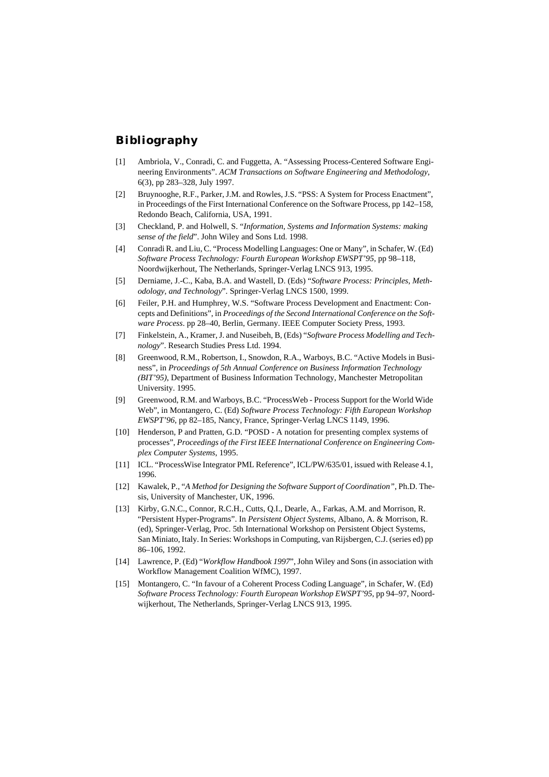## <span id="page-14-0"></span>**Bibliography**

- [1] Ambriola, V., Conradi, C. and Fuggetta, A. "Assessing Process-Centered Software Engineering Environments". *ACM Transactions on Software Engineering and Methodology*, 6(3), pp 283–328, July 1997.
- [2] Bruynooghe, R.F., Parker, J.M. and Rowles, J.S. "PSS: A System for Process Enactment", in Proceedings of the First International Conference on the Software Process, pp 142–158, Redondo Beach, California, USA, 1991.
- [3] Checkland, P. and Holwell, S. "*Information, Systems and Information Systems: making sense of the field*". John Wiley and Sons Ltd. 1998.
- [4] Conradi R. and Liu, C. "Process Modelling Languages: One or Many", in Schafer, W. (Ed) *Software Process Technology: Fourth European Workshop EWSPT'95*, pp 98–118, Noordwijkerhout, The Netherlands, Springer-Verlag LNCS 913, 1995.
- [5] Derniame, J.-C., Kaba, B.A. and Wastell, D. (Eds) "*Software Process: Principles, Methodology, and Technology*". Springer-Verlag LNCS 1500, 1999.
- [6] Feiler, P.H. and Humphrey, W.S. "Software Process Development and Enactment: Concepts and Definitions", in *Proceedings of the Second International Conference on the Software Process*. pp 28–40, Berlin, Germany. IEEE Computer Society Press, 1993.
- [7] Finkelstein, A., Kramer, J. and Nuseibeh, B, (Eds) "*Software Process Modelling and Technology*". Research Studies Press Ltd. 1994.
- [8] Greenwood, R.M., Robertson, I., Snowdon, R.A., Warboys, B.C. "Active Models in Business", in *Proceedings of 5th Annual Conference on Business Information Technology (BIT'95)*, Department of Business Information Technology, Manchester Metropolitan University. 1995.
- [9] Greenwood, R.M. and Warboys, B.C. "ProcessWeb Process Support for the World Wide Web", in Montangero, C. (Ed) *Software Process Technology: Fifth European Workshop EWSPT'96*, pp 82–185, Nancy, France, Springer-Verlag LNCS 1149, 1996.
- [10] Henderson, P and Pratten, G.D. "POSD A notation for presenting complex systems of processes", *Proceedings of the First IEEE International Conference on Engineering Complex Computer Systems*, 1995.
- [11] ICL. "ProcessWise Integrator PML Reference", ICL/PW/635/01, issued with Release 4.1, 1996.
- [12] Kawalek, P., "*A Method for Designing the Software Support of Coordination"*, Ph.D. Thesis, University of Manchester, UK, 1996.
- [13] Kirby, G.N.C., Connor, R.C.H., Cutts, Q.I., Dearle, A., Farkas, A.M. and Morrison, R. "Persistent Hyper-Programs". In *Persistent Object Systems*, Albano, A. & Morrison, R. (ed), Springer-Verlag, Proc. 5th International Workshop on Persistent Object Systems, San Miniato, Italy. In Series: Workshops in Computing, van Rijsbergen, C.J. (series ed) pp 86–106, 1992.
- [14] Lawrence, P. (Ed) "*Workflow Handbook 1997*", John Wiley and Sons (in association with Workflow Management Coalition WfMC), 1997.
- [15] Montangero, C. "In favour of a Coherent Process Coding Language", in Schafer, W. (Ed) *Software Process Technology: Fourth European Workshop EWSPT'95*, pp 94–97, Noordwijkerhout, The Netherlands, Springer-Verlag LNCS 913, 1995.